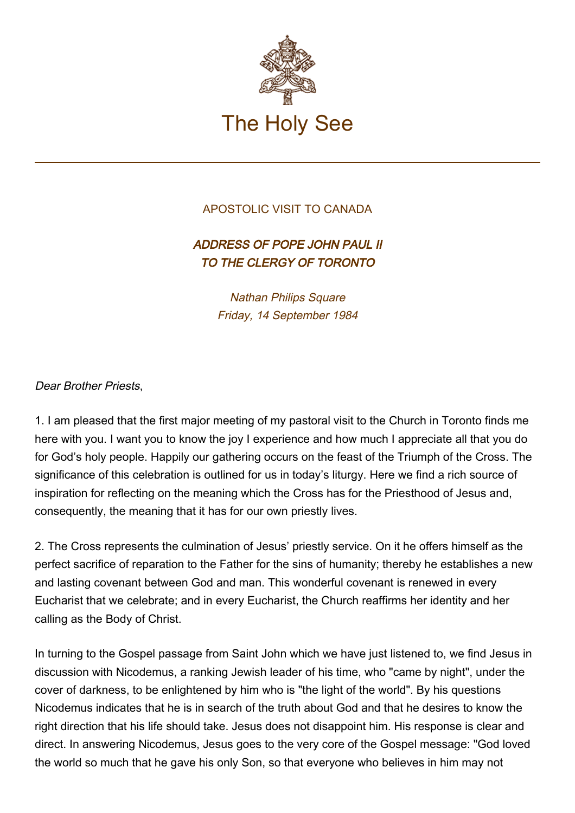

## APOSTOLIC VISIT TO CANADA

## ADDRESS OF POPE JOHN PAUL II TO THE CLERGY OF TORONTO

Nathan Philips Square Friday, 14 September 1984

## Dear Brother Priests,

1. I am pleased that the first major meeting of my pastoral visit to the Church in Toronto finds me here with you. I want you to know the joy I experience and how much I appreciate all that you do for God's holy people. Happily our gathering occurs on the feast of the Triumph of the Cross. The significance of this celebration is outlined for us in today's liturgy. Here we find a rich source of inspiration for reflecting on the meaning which the Cross has for the Priesthood of Jesus and, consequently, the meaning that it has for our own priestly lives.

2. The Cross represents the culmination of Jesus' priestly service. On it he offers himself as the perfect sacrifice of reparation to the Father for the sins of humanity; thereby he establishes a new and lasting covenant between God and man. This wonderful covenant is renewed in every Eucharist that we celebrate; and in every Eucharist, the Church reaffirms her identity and her calling as the Body of Christ.

In turning to the Gospel passage from Saint John which we have just listened to, we find Jesus in discussion with Nicodemus, a ranking Jewish leader of his time, who "came by night", under the cover of darkness, to be enlightened by him who is "the light of the world". By his questions Nicodemus indicates that he is in search of the truth about God and that he desires to know the right direction that his life should take. Jesus does not disappoint him. His response is clear and direct. In answering Nicodemus, Jesus goes to the very core of the Gospel message: "God loved the world so much that he gave his only Son, so that everyone who believes in him may not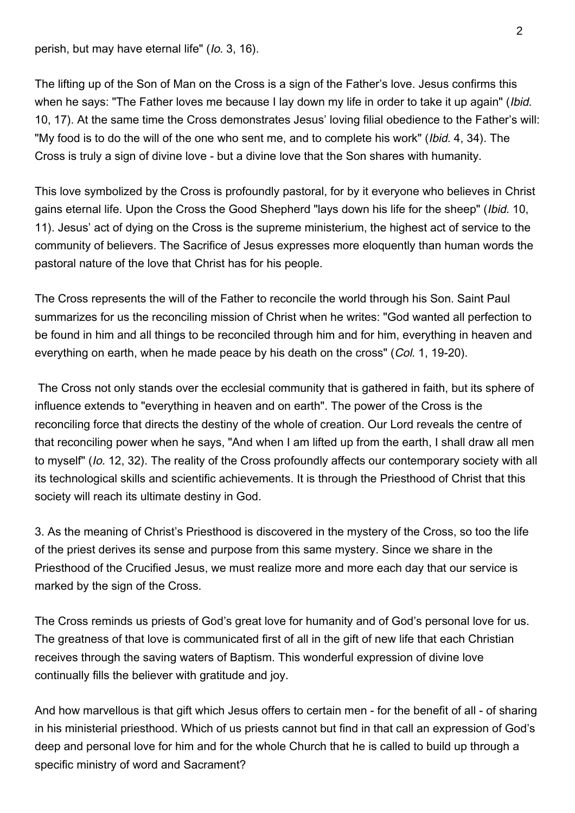perish, but may have eternal life" (Io. 3, 16).

The lifting up of the Son of Man on the Cross is a sign of the Father's love. Jesus confirms this when he says: "The Father loves me because I lay down my life in order to take it up again" (*Ibid.*) 10, 17). At the same time the Cross demonstrates Jesus' loving filial obedience to the Father's will: "My food is to do the will of the one who sent me, and to complete his work" (Ibid. 4, 34). The Cross is truly a sign of divine love - but a divine love that the Son shares with humanity.

This love symbolized by the Cross is profoundly pastoral, for by it everyone who believes in Christ gains eternal life. Upon the Cross the Good Shepherd "lays down his life for the sheep" (Ibid. 10, 11). Jesus' act of dying on the Cross is the supreme ministerium, the highest act of service to the community of believers. The Sacrifice of Jesus expresses more eloquently than human words the pastoral nature of the love that Christ has for his people.

The Cross represents the will of the Father to reconcile the world through his Son. Saint Paul summarizes for us the reconciling mission of Christ when he writes: "God wanted all perfection to be found in him and all things to be reconciled through him and for him, everything in heaven and everything on earth, when he made peace by his death on the cross" (Col. 1, 19-20).

 The Cross not only stands over the ecclesial community that is gathered in faith, but its sphere of influence extends to "everything in heaven and on earth". The power of the Cross is the reconciling force that directs the destiny of the whole of creation. Our Lord reveals the centre of that reconciling power when he says, "And when I am lifted up from the earth, I shall draw all men to myself" (Io. 12, 32). The reality of the Cross profoundly affects our contemporary society with all its technological skills and scientific achievements. It is through the Priesthood of Christ that this society will reach its ultimate destiny in God.

3. As the meaning of Christ's Priesthood is discovered in the mystery of the Cross, so too the life of the priest derives its sense and purpose from this same mystery. Since we share in the Priesthood of the Crucified Jesus, we must realize more and more each day that our service is marked by the sign of the Cross.

The Cross reminds us priests of God's great love for humanity and of God's personal love for us. The greatness of that love is communicated first of all in the gift of new life that each Christian receives through the saving waters of Baptism. This wonderful expression of divine love continually fills the believer with gratitude and joy.

And how marvellous is that gift which Jesus offers to certain men - for the benefit of all - of sharing in his ministerial priesthood. Which of us priests cannot but find in that call an expression of God's deep and personal love for him and for the whole Church that he is called to build up through a specific ministry of word and Sacrament?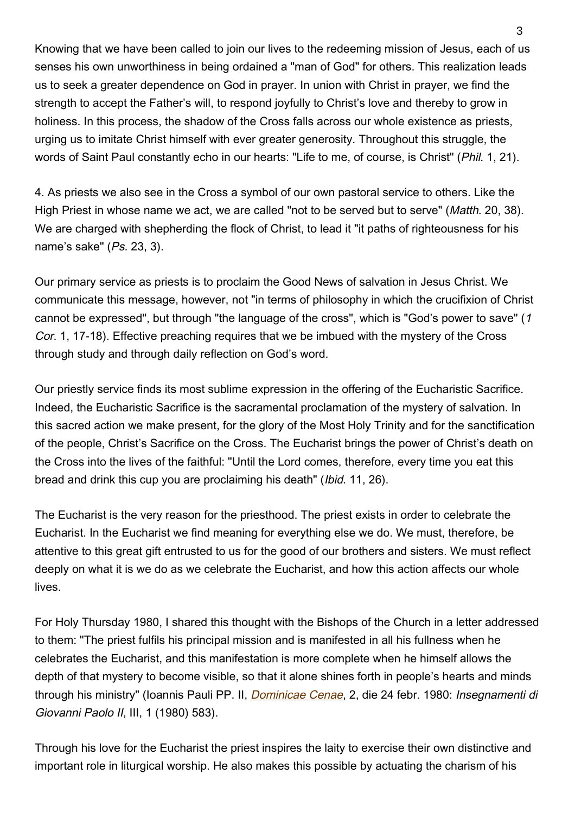Knowing that we have been called to join our lives to the redeeming mission of Jesus, each of us senses his own unworthiness in being ordained a "man of God" for others. This realization leads us to seek a greater dependence on God in prayer. In union with Christ in prayer, we find the strength to accept the Father's will, to respond joyfully to Christ's love and thereby to grow in holiness. In this process, the shadow of the Cross falls across our whole existence as priests, urging us to imitate Christ himself with ever greater generosity. Throughout this struggle, the words of Saint Paul constantly echo in our hearts: "Life to me, of course, is Christ" (Phil. 1, 21).

4. As priests we also see in the Cross a symbol of our own pastoral service to others. Like the High Priest in whose name we act, we are called "not to be served but to serve" (Matth. 20, 38). We are charged with shepherding the flock of Christ, to lead it "it paths of righteousness for his name's sake" (Ps. 23, 3).

Our primary service as priests is to proclaim the Good News of salvation in Jesus Christ. We communicate this message, however, not "in terms of philosophy in which the crucifixion of Christ cannot be expressed", but through "the language of the cross", which is "God's power to save" (1 Cor. 1, 17-18). Effective preaching requires that we be imbued with the mystery of the Cross through study and through daily reflection on God's word.

Our priestly service finds its most sublime expression in the offering of the Eucharistic Sacrifice. Indeed, the Eucharistic Sacrifice is the sacramental proclamation of the mystery of salvation. In this sacred action we make present, for the glory of the Most Holy Trinity and for the sanctification of the people, Christ's Sacrifice on the Cross. The Eucharist brings the power of Christ's death on the Cross into the lives of the faithful: "Until the Lord comes, therefore, every time you eat this bread and drink this cup you are proclaiming his death" (Ibid. 11, 26).

The Eucharist is the very reason for the priesthood. The priest exists in order to celebrate the Eucharist. In the Eucharist we find meaning for everything else we do. We must, therefore, be attentive to this great gift entrusted to us for the good of our brothers and sisters. We must reflect deeply on what it is we do as we celebrate the Eucharist, and how this action affects our whole lives.

For Holy Thursday 1980, I shared this thought with the Bishops of the Church in a letter addressed to them: "The priest fulfils his principal mission and is manifested in all his fullness when he celebrates the Eucharist, and this manifestation is more complete when he himself allows the depth of that mystery to become visible, so that it alone shines forth in people's hearts and minds through his ministry" (Ioannis Pauli PP. II, *[Dominicae Cenae](https://www.vatican.va/content/john-paul-ii/en/letters/documents/hf_jp-ii_let_24021980_dominicae-cenae.html)*, 2, die 24 febr. 1980: Insegnamenti di Giovanni Paolo II, III, 1 (1980) 583).

Through his love for the Eucharist the priest inspires the laity to exercise their own distinctive and important role in liturgical worship. He also makes this possible by actuating the charism of his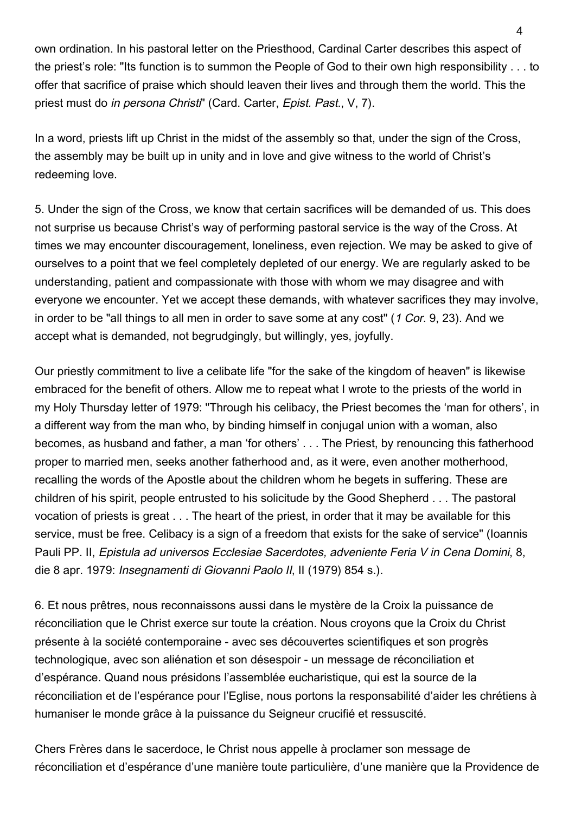own ordination. In his pastoral letter on the Priesthood, Cardinal Carter describes this aspect of the priest's role: "Its function is to summon the People of God to their own high responsibility . . . to offer that sacrifice of praise which should leaven their lives and through them the world. This the priest must do in persona Christi" (Card. Carter, Epist. Past., V, 7).

In a word, priests lift up Christ in the midst of the assembly so that, under the sign of the Cross, the assembly may be built up in unity and in love and give witness to the world of Christ's redeeming love.

5. Under the sign of the Cross, we know that certain sacrifices will be demanded of us. This does not surprise us because Christ's way of performing pastoral service is the way of the Cross. At times we may encounter discouragement, loneliness, even rejection. We may be asked to give of ourselves to a point that we feel completely depleted of our energy. We are regularly asked to be understanding, patient and compassionate with those with whom we may disagree and with everyone we encounter. Yet we accept these demands, with whatever sacrifices they may involve, in order to be "all things to all men in order to save some at any cost" (1 Cor. 9, 23). And we accept what is demanded, not begrudgingly, but willingly, yes, joyfully.

Our priestly commitment to live a celibate life "for the sake of the kingdom of heaven" is likewise embraced for the benefit of others. Allow me to repeat what I wrote to the priests of the world in my Holy Thursday letter of 1979: "Through his celibacy, the Priest becomes the 'man for others', in a different way from the man who, by binding himself in conjugal union with a woman, also becomes, as husband and father, a man 'for others' . . . The Priest, by renouncing this fatherhood proper to married men, seeks another fatherhood and, as it were, even another motherhood, recalling the words of the Apostle about the children whom he begets in suffering. These are children of his spirit, people entrusted to his solicitude by the Good Shepherd . . . The pastoral vocation of priests is great . . . The heart of the priest, in order that it may be available for this service, must be free. Celibacy is a sign of a freedom that exists for the sake of service" (Ioannis Pauli PP. II, Epistula ad universos Ecclesiae Sacerdotes, adveniente Feria V in Cena Domini, 8, die 8 apr. 1979: Insegnamenti di Giovanni Paolo II, II (1979) 854 s.).

6. Et nous prêtres, nous reconnaissons aussi dans le mystère de la Croix la puissance de réconciliation que le Christ exerce sur toute la création. Nous croyons que la Croix du Christ présente à la société contemporaine - avec ses découvertes scientifiques et son progrès technologique, avec son aliénation et son désespoir - un message de réconciliation et d'espérance. Quand nous présidons l'assemblée eucharistique, qui est la source de la réconciliation et de l'espérance pour l'Eglise, nous portons la responsabilité d'aider les chrétiens à humaniser le monde grâce à la puissance du Seigneur crucifié et ressuscité.

Chers Frères dans le sacerdoce, le Christ nous appelle à proclamer son message de réconciliation et d'espérance d'une manière toute particulière, d'une manière que la Providence de